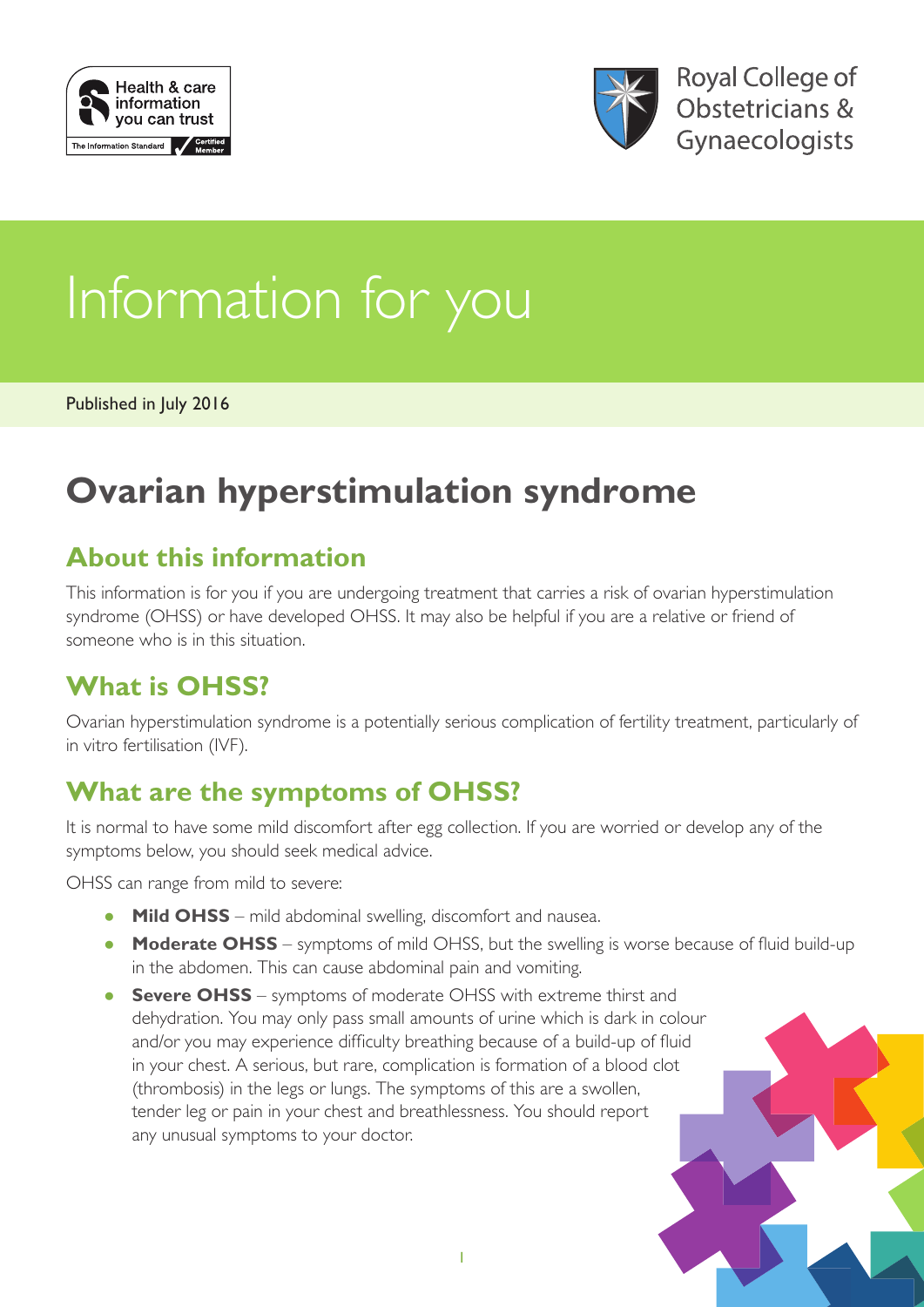



# Information for you

Published in July 2016

# **Ovarian hyperstimulation syndrome**

#### **About this information**

This information is for you if you are undergoing treatment that carries a risk of ovarian hyperstimulation syndrome (OHSS) or have developed OHSS. It may also be helpful if you are a relative or friend of someone who is in this situation.

#### **What is OHSS?**

Ovarian hyperstimulation syndrome is a potentially serious complication of fertility treatment, particularly of in vitro fertilisation (IVF).

#### **What are the symptoms of OHSS?**

It is normal to have some mild discomfort after egg collection. If you are worried or develop any of the symptoms below, you should seek medical advice.

OHSS can range from mild to severe:

- **Mild OHSS** mild abdominal swelling, discomfort and nausea.
- **Moderate OHSS** symptoms of mild OHSS, but the swelling is worse because of fluid build-up in the abdomen. This can cause abdominal pain and vomiting.
- **Severe OHSS** symptoms of moderate OHSS with extreme thirst and dehydration. You may only pass small amounts of urine which is dark in colour and/or you may experience difficulty breathing because of a build-up of fluid in your chest. A serious, but rare, complication is formation of a blood clot (thrombosis) in the legs or lungs. The symptoms of this are a swollen, tender leg or pain in your chest and breathlessness. You should report any unusual symptoms to your doctor.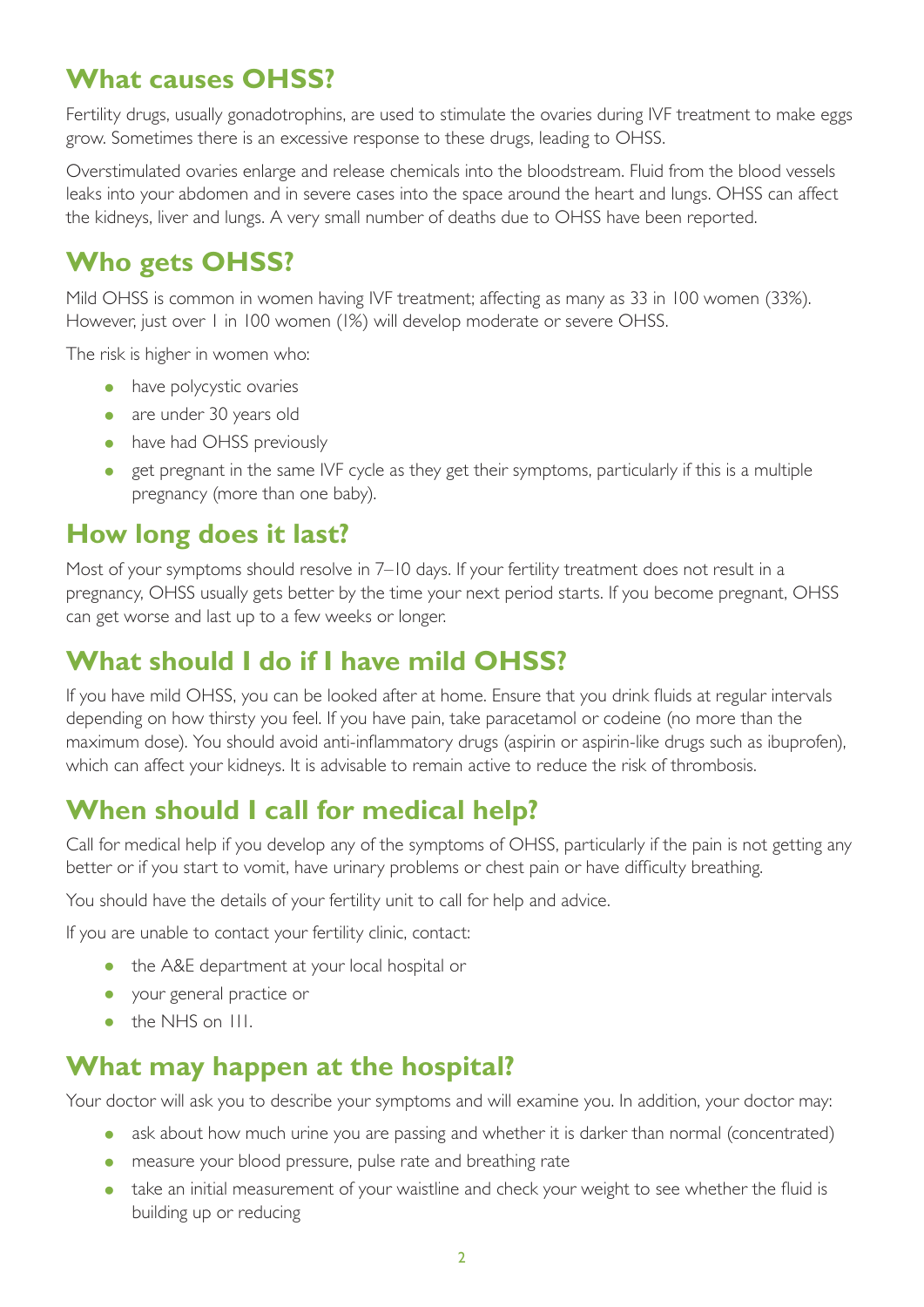#### **What causes OHSS?**

Fertility drugs, usually gonadotrophins, are used to stimulate the ovaries during IVF treatment to make eggs grow. Sometimes there is an excessive response to these drugs, leading to OHSS.

Overstimulated ovaries enlarge and release chemicals into the bloodstream. Fluid from the blood vessels leaks into your abdomen and in severe cases into the space around the heart and lungs. OHSS can affect the kidneys, liver and lungs. A very small number of deaths due to OHSS have been reported.

#### **Who gets OHSS?**

Mild OHSS is common in women having IVF treatment; affecting as many as 33 in 100 women (33%). However, just over 1 in 100 women (1%) will develop moderate or severe OHSS.

The risk is higher in women who:

- have polycystic ovaries
- are under 30 years old
- have had OHSS previously
- get pregnant in the same IVF cycle as they get their symptoms, particularly if this is a multiple pregnancy (more than one baby).

#### **How long does it last?**

Most of your symptoms should resolve in 7–10 days. If your fertility treatment does not result in a pregnancy, OHSS usually gets better by the time your next period starts. If you become pregnant, OHSS can get worse and last up to a few weeks or longer.

### **What should I do if I have mild OHSS?**

If you have mild OHSS, you can be looked after at home. Ensure that you drink fluids at regular intervals depending on how thirsty you feel. If you have pain, take paracetamol or codeine (no more than the maximum dose). You should avoid anti-inflammatory drugs (aspirin or aspirin-like drugs such as ibuprofen), which can affect your kidneys. It is advisable to remain active to reduce the risk of thrombosis.

#### **When should I call for medical help?**

Call for medical help if you develop any of the symptoms of OHSS, particularly if the pain is not getting any better or if you start to vomit, have urinary problems or chest pain or have difficulty breathing.

You should have the details of your fertility unit to call for help and advice.

If you are unable to contact your fertility clinic, contact:

- the A&E department at your local hospital or
- your general practice or
- the NHS on III.

#### **What may happen at the hospital?**

Your doctor will ask you to describe your symptoms and will examine you. In addition, your doctor may:

- ask about how much urine you are passing and whether it is darker than normal (concentrated)
- measure your blood pressure, pulse rate and breathing rate
- take an initial measurement of your waistline and check your weight to see whether the fluid is building up or reducing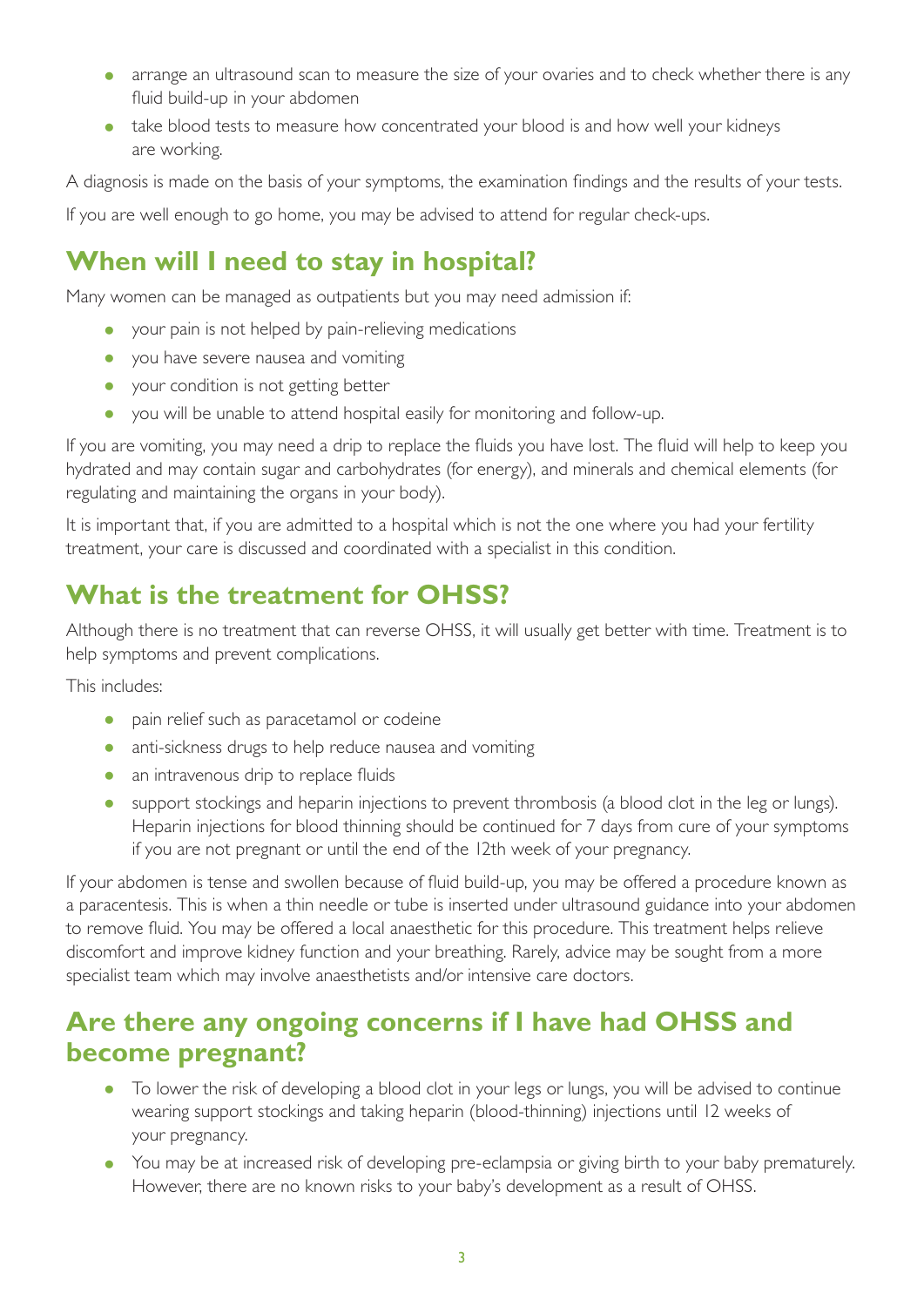- arrange an ultrasound scan to measure the size of your ovaries and to check whether there is any fluid build-up in your abdomen
- take blood tests to measure how concentrated your blood is and how well your kidneys are working.

A diagnosis is made on the basis of your symptoms, the examination findings and the results of your tests.

If you are well enough to go home, you may be advised to attend for regular check-ups.

#### **When will I need to stay in hospital?**

Many women can be managed as outpatients but you may need admission if:

- your pain is not helped by pain-relieving medications
- you have severe nausea and vomiting
- your condition is not getting better
- you will be unable to attend hospital easily for monitoring and follow-up.

If you are vomiting, you may need a drip to replace the fluids you have lost. The fluid will help to keep you hydrated and may contain sugar and carbohydrates (for energy), and minerals and chemical elements (for regulating and maintaining the organs in your body).

It is important that, if you are admitted to a hospital which is not the one where you had your fertility treatment, your care is discussed and coordinated with a specialist in this condition.

#### **What is the treatment for OHSS?**

Although there is no treatment that can reverse OHSS, it will usually get better with time. Treatment is to help symptoms and prevent complications.

This includes:

- pain relief such as paracetamol or codeine
- anti-sickness drugs to help reduce nausea and vomiting
- an intravenous drip to replace fluids
- support stockings and heparin injections to prevent thrombosis (a blood clot in the leg or lungs). Heparin injections for blood thinning should be continued for 7 days from cure of your symptoms if you are not pregnant or until the end of the 12th week of your pregnancy.

If your abdomen is tense and swollen because of fluid build-up, you may be offered a procedure known as a paracentesis. This is when a thin needle or tube is inserted under ultrasound guidance into your abdomen to remove fluid. You may be offered a local anaesthetic for this procedure. This treatment helps relieve discomfort and improve kidney function and your breathing. Rarely, advice may be sought from a more specialist team which may involve anaesthetists and/or intensive care doctors.

#### **Are there any ongoing concerns if I have had OHSS and become pregnant?**

- To lower the risk of developing a blood clot in your legs or lungs, you will be advised to continue wearing support stockings and taking heparin (blood-thinning) injections until 12 weeks of your pregnancy.
- You may be at increased risk of developing pre-eclampsia or giving birth to your baby prematurely. However, there are no known risks to your baby's development as a result of OHSS.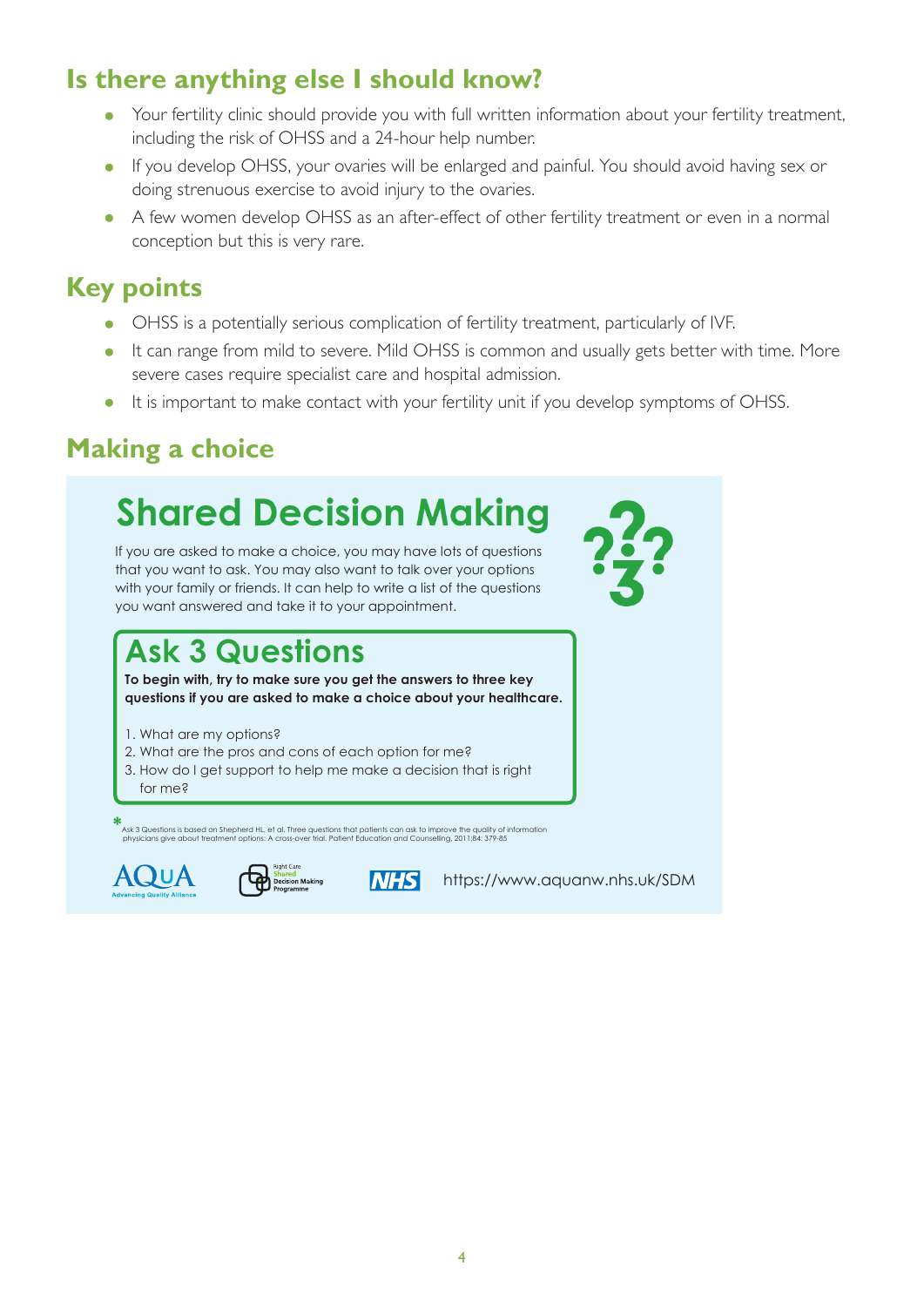#### **Is there anything else I should know?**

- Your fertility clinic should provide you with full written information about your fertility treatment, including the risk of OHSS and a 24-hour help number.
- If you develop OHSS, your ovaries will be enlarged and painful. You should avoid having sex or doing strenuous exercise to avoid injury to the ovaries. **"We want to know what's**
- A few women develop OHSS as an after-effect of other fertility treatment or even in a normal conception but this is very rare. **internet of even in a hormal**

#### **Key points**

- OHSS is a potentially serious complication of fertility treatment, particularly of IVF. ticularly of tvr.
- It can range from mild to severe. Mild OHSS is common and usually gets better with time. More severe cases require specialist care and hospital admission.  $\mathbf{b}$
- It is important to make contact with your fertility unit if you develop symptoms of OHSS.

# **Making a choice**

#### **Shared Decision Making Care programme** to promote shared decision and **What you choose to do should depend on what is important to you.**

If you are asked to make a choice, you may have lots of questions that you want to ask. You may also want to talk over your options with your family or friends. It can help to write a list of the questions you want answered and take it to your appointment.

## **Ask 3 Questions**

**To begin with, try to make sure you get the answers to three key questions if you are asked to make a choice about your healthcare.**

- 1. What are my options?
- 2. What are the pros and cons of each option for me?
- 3. How do I get support to help me make a decision that is right for me?

%<br>Ask 3 Questions is based on Shepherd HL, et al. Three questions that patients can ask to improve the quality of information<br>physicians give about treatment options: A cross-over trial. Patient Education and Counselling,





**NHS** 

**What's it all about?** <https://www.aquanw.nhs.uk/SDM>

What are the **pros** and **cons** of each option for me?

**3 Questions..."**

Here are some people who

healthcare. **"I asked**

How do I get support to

that is **right for me**?